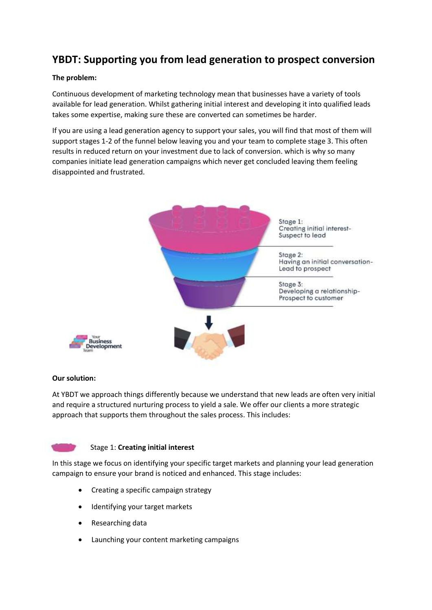# **YBDT: Supporting you from lead generation to prospect conversion**

## **The problem:**

Continuous development of marketing technology mean that businesses have a variety of tools available for lead generation. Whilst gathering initial interest and developing it into qualified leads takes some expertise, making sure these are converted can sometimes be harder.

If you are using a lead generation agency to support your sales, you will find that most of them will support stages 1-2 of the funnel below leaving you and your team to complete stage 3. This often results in reduced return on your investment due to lack of conversion. which is why so many companies initiate lead generation campaigns which never get concluded leaving them feeling disappointed and frustrated.



# **Our solution:**

At YBDT we approach things differently because we understand that new leads are often very initial and require a structured nurturing process to yield a sale. We offer our clients a more strategic approach that supports them throughout the sales process. This includes:



#### Stage 1: **Creating initial interest**

In this stage we focus on identifying your specific target markets and planning your lead generation campaign to ensure your brand is noticed and enhanced. This stage includes:

- Creating a specific campaign strategy
- Identifying your target markets
- Researching data
- Launching your content marketing campaigns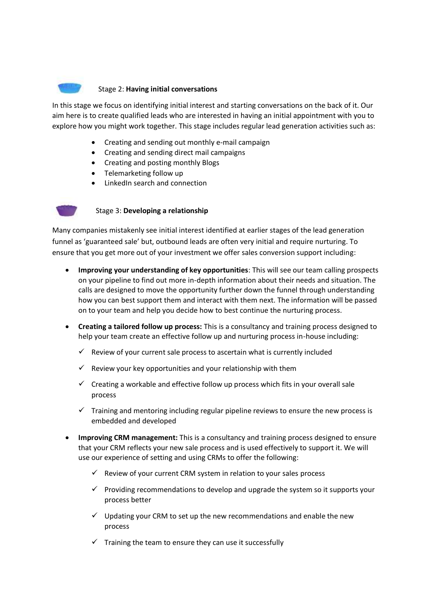

## Stage 2: **Having initial conversations**

In this stage we focus on identifying initial interest and starting conversations on the back of it. Our aim here is to create qualified leads who are interested in having an initial appointment with you to explore how you might work together. This stage includes regular lead generation activities such as:

- Creating and sending out monthly e-mail campaign
- Creating and sending direct mail campaigns
- Creating and posting monthly Blogs
- Telemarketing follow up
- LinkedIn search and connection



#### Stage 3: **Developing a relationship**

Many companies mistakenly see initial interest identified at earlier stages of the lead generation funnel as 'guaranteed sale' but, outbound leads are often very initial and require nurturing. To ensure that you get more out of your investment we offer sales conversion support including:

- **Improving your understanding of key opportunities**: This will see our team calling prospects on your pipeline to find out more in-depth information about their needs and situation. The calls are designed to move the opportunity further down the funnel through understanding how you can best support them and interact with them next. The information will be passed on to your team and help you decide how to best continue the nurturing process.
- **Creating a tailored follow up process:** This is a consultancy and training process designed to help your team create an effective follow up and nurturing process in-house including:
	- Review of your current sale process to ascertain what is currently included
	- Review your key opportunities and your relationship with them
	- $\checkmark$  Creating a workable and effective follow up process which fits in your overall sale process
	- $\checkmark$  Training and mentoring including regular pipeline reviews to ensure the new process is embedded and developed
- **Improving CRM management:** This is a consultancy and training process designed to ensure that your CRM reflects your new sale process and is used effectively to support it. We will use our experience of setting and using CRMs to offer the following:
	- $\checkmark$  Review of your current CRM system in relation to your sales process
	- $\checkmark$  Providing recommendations to develop and upgrade the system so it supports your process better
	- $\checkmark$  Updating your CRM to set up the new recommendations and enable the new process
	- $\checkmark$  Training the team to ensure they can use it successfully